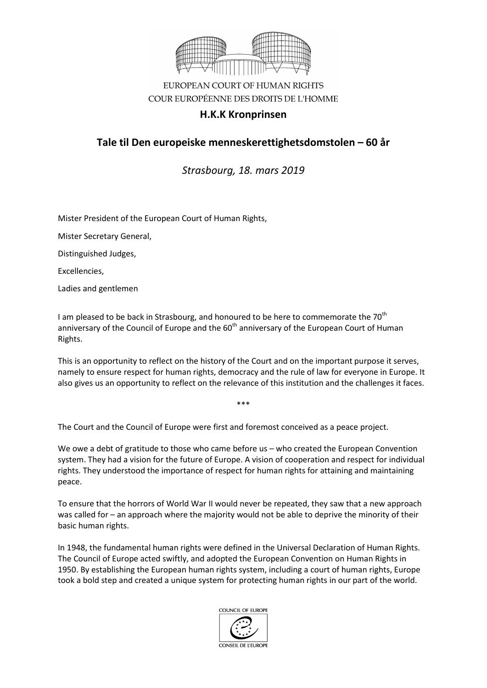

## EUROPEAN COURT OF HUMAN RIGHTS COUR EUROPÉENNE DES DROITS DE L'HOMME

### **H.K.K Kronprinsen**

# **Tale til Den europeiske menneskerettighetsdomstolen – 60 år**

*Strasbourg, 18. mars 2019*

Mister President of the European Court of Human Rights,

Mister Secretary General,

Distinguished Judges,

Excellencies,

Ladies and gentlemen

I am pleased to be back in Strasbourg, and honoured to be here to commemorate the  $70<sup>th</sup>$ anniversary of the Council of Europe and the  $60<sup>th</sup>$  anniversary of the European Court of Human Rights.

This is an opportunity to reflect on the history of the Court and on the important purpose it serves, namely to ensure respect for human rights, democracy and the rule of law for everyone in Europe. It also gives us an opportunity to reflect on the relevance of this institution and the challenges it faces.

\*\*\*

The Court and the Council of Europe were first and foremost conceived as a peace project.

We owe a debt of gratitude to those who came before us – who created the European Convention system. They had a vision for the future of Europe. A vision of cooperation and respect for individual rights. They understood the importance of respect for human rights for attaining and maintaining peace.

To ensure that the horrors of World War II would never be repeated, they saw that a new approach was called for – an approach where the majority would not be able to deprive the minority of their basic human rights.

In 1948, the fundamental human rights were defined in the Universal Declaration of Human Rights. The Council of Europe acted swiftly, and adopted the European Convention on Human Rights in 1950. By establishing the European human rights system, including a court of human rights, Europe took a bold step and created a unique system for protecting human rights in our part of the world.

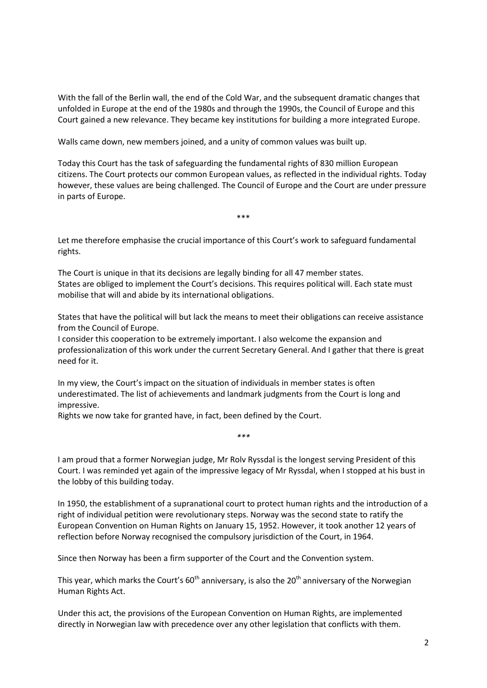With the fall of the Berlin wall, the end of the Cold War, and the subsequent dramatic changes that unfolded in Europe at the end of the 1980s and through the 1990s, the Council of Europe and this Court gained a new relevance. They became key institutions for building a more integrated Europe.

Walls came down, new members joined, and a unity of common values was built up.

Today this Court has the task of safeguarding the fundamental rights of 830 million European citizens. The Court protects our common European values, as reflected in the individual rights. Today however, these values are being challenged. The Council of Europe and the Court are under pressure in parts of Europe.

\*\*\*

Let me therefore emphasise the crucial importance of this Court's work to safeguard fundamental rights.

The Court is unique in that its decisions are legally binding for all 47 member states. States are obliged to implement the Court's decisions. This requires political will. Each state must mobilise that will and abide by its international obligations.

States that have the political will but lack the means to meet their obligations can receive assistance from the Council of Europe.

I consider this cooperation to be extremely important. I also welcome the expansion and professionalization of this work under the current Secretary General. And I gather that there is great need for it.

In my view, the Court's impact on the situation of individuals in member states is often underestimated. The list of achievements and landmark judgments from the Court is long and impressive.

Rights we now take for granted have, in fact, been defined by the Court.

I am proud that a former Norwegian judge, Mr Rolv Ryssdal is the longest serving President of this Court. I was reminded yet again of the impressive legacy of Mr Ryssdal, when I stopped at his bust in the lobby of this building today.

*\*\*\**

In 1950, the establishment of a supranational court to protect human rights and the introduction of a right of individual petition were revolutionary steps. Norway was the second state to ratify the European Convention on Human Rights on January 15, 1952. However, it took another 12 years of reflection before Norway recognised the compulsory jurisdiction of the Court, in 1964.

Since then Norway has been a firm supporter of the Court and the Convention system.

This year, which marks the Court's  $60<sup>th</sup>$  anniversary, is also the 20<sup>th</sup> anniversary of the Norwegian Human Rights Act.

Under this act, the provisions of the European Convention on Human Rights, are implemented directly in Norwegian law with precedence over any other legislation that conflicts with them.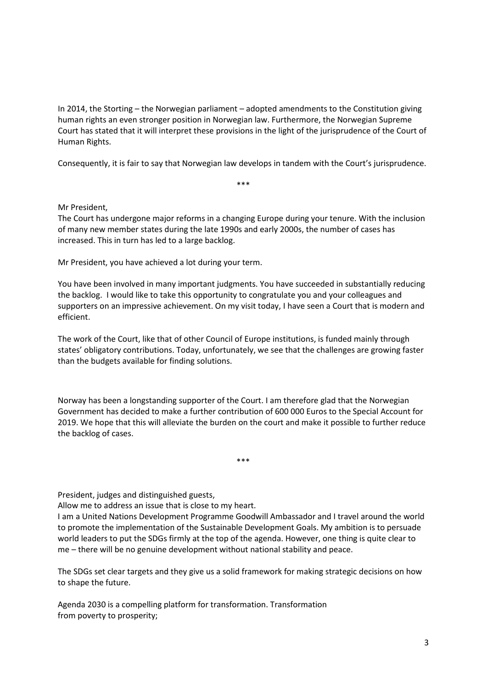In 2014, the Storting – the Norwegian parliament – adopted amendments to the Constitution giving human rights an even stronger position in Norwegian law. Furthermore, the Norwegian Supreme Court has stated that it will interpret these provisions in the light of the jurisprudence of the Court of Human Rights.

Consequently, it is fair to say that Norwegian law develops in tandem with the Court's jurisprudence.

\*\*\*

#### Mr President,

The Court has undergone major reforms in a changing Europe during your tenure. With the inclusion of many new member states during the late 1990s and early 2000s, the number of cases has increased. This in turn has led to a large backlog.

Mr President, you have achieved a lot during your term.

You have been involved in many important judgments. You have succeeded in substantially reducing the backlog. I would like to take this opportunity to congratulate you and your colleagues and supporters on an impressive achievement. On my visit today, I have seen a Court that is modern and efficient.

The work of the Court, like that of other Council of Europe institutions, is funded mainly through states' obligatory contributions. Today, unfortunately, we see that the challenges are growing faster than the budgets available for finding solutions.

Norway has been a longstanding supporter of the Court. I am therefore glad that the Norwegian Government has decided to make a further contribution of 600 000 Euros to the Special Account for 2019. We hope that this will alleviate the burden on the court and make it possible to further reduce the backlog of cases.

\*\*\*

President, judges and distinguished guests,

Allow me to address an issue that is close to my heart.

I am a United Nations Development Programme Goodwill Ambassador and I travel around the world to promote the implementation of the Sustainable Development Goals. My ambition is to persuade world leaders to put the SDGs firmly at the top of the agenda. However, one thing is quite clear to me – there will be no genuine development without national stability and peace.

The SDGs set clear targets and they give us a solid framework for making strategic decisions on how to shape the future.

Agenda 2030 is a compelling platform for transformation. Transformation from poverty to prosperity;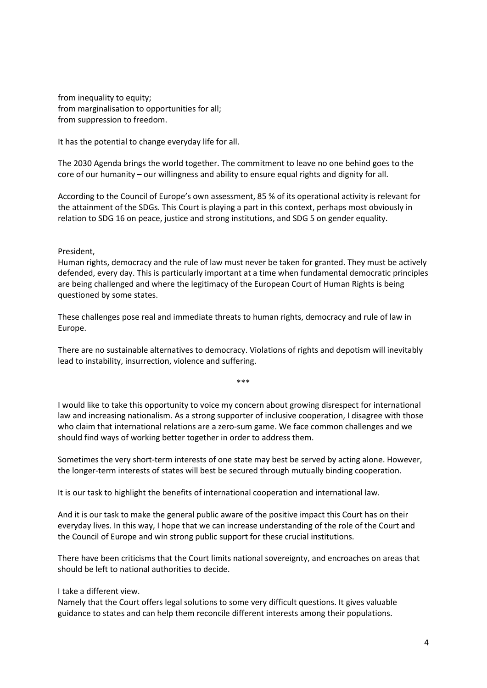from inequality to equity; from marginalisation to opportunities for all; from suppression to freedom.

It has the potential to change everyday life for all.

The 2030 Agenda brings the world together. The commitment to leave no one behind goes to the core of our humanity – our willingness and ability to ensure equal rights and dignity for all.

According to the Council of Europe's own assessment, 85 % of its operational activity is relevant for the attainment of the SDGs. This Court is playing a part in this context, perhaps most obviously in relation to SDG 16 on peace, justice and strong institutions, and SDG 5 on gender equality.

#### President,

Human rights, democracy and the rule of law must never be taken for granted. They must be actively defended, every day. This is particularly important at a time when fundamental democratic principles are being challenged and where the legitimacy of the European Court of Human Rights is being questioned by some states.

These challenges pose real and immediate threats to human rights, democracy and rule of law in Europe.

There are no sustainable alternatives to democracy. Violations of rights and depotism will inevitably lead to instability, insurrection, violence and suffering.

\*\*\*

I would like to take this opportunity to voice my concern about growing disrespect for international law and increasing nationalism. As a strong supporter of inclusive cooperation, I disagree with those who claim that international relations are a zero-sum game. We face common challenges and we should find ways of working better together in order to address them.

Sometimes the very short-term interests of one state may best be served by acting alone. However, the longer-term interests of states will best be secured through mutually binding cooperation.

It is our task to highlight the benefits of international cooperation and international law.

And it is our task to make the general public aware of the positive impact this Court has on their everyday lives. In this way, I hope that we can increase understanding of the role of the Court and the Council of Europe and win strong public support for these crucial institutions.

There have been criticisms that the Court limits national sovereignty, and encroaches on areas that should be left to national authorities to decide.

#### I take a different view.

Namely that the Court offers legal solutions to some very difficult questions. It gives valuable guidance to states and can help them reconcile different interests among their populations.